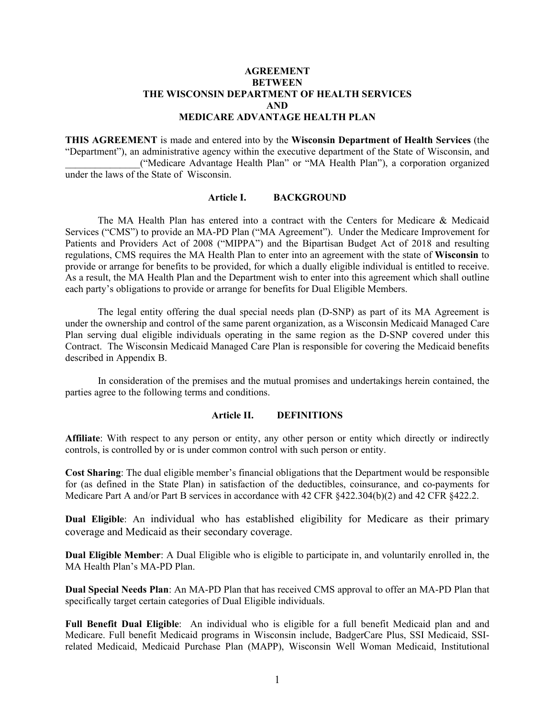# **AGREEMENT BETWEEN THE WISCONSIN DEPARTMENT OF HEALTH SERVICES AND MEDICARE ADVANTAGE HEALTH PLAN**

**THIS AGREEMENT** is made and entered into by the **Wisconsin Department of Health Services** (the "Department"), an administrative agency within the executive department of the State of Wisconsin, and \_\_\_\_\_\_\_\_\_\_\_\_\_\_\_("Medicare Advantage Health Plan" or "MA Health Plan"), a corporation organized under the laws of the State of Wisconsin.

# **Article I. BACKGROUND**

The MA Health Plan has entered into a contract with the Centers for Medicare & Medicaid Services ("CMS") to provide an MA-PD Plan ("MA Agreement"). Under the Medicare Improvement for Patients and Providers Act of 2008 ("MIPPA") and the Bipartisan Budget Act of 2018 and resulting regulations, CMS requires the MA Health Plan to enter into an agreement with the state of **Wisconsin** to provide or arrange for benefits to be provided, for which a dually eligible individual is entitled to receive. As a result, the MA Health Plan and the Department wish to enter into this agreement which shall outline each party's obligations to provide or arrange for benefits for Dual Eligible Members.

The legal entity offering the dual special needs plan (D-SNP) as part of its MA Agreement is under the ownership and control of the same parent organization, as a Wisconsin Medicaid Managed Care Plan serving dual eligible individuals operating in the same region as the D-SNP covered under this Contract. The Wisconsin Medicaid Managed Care Plan is responsible for covering the Medicaid benefits described in Appendix B.

In consideration of the premises and the mutual promises and undertakings herein contained, the parties agree to the following terms and conditions.

#### **Article II. DEFINITIONS**

**Affiliate**: With respect to any person or entity, any other person or entity which directly or indirectly controls, is controlled by or is under common control with such person or entity.

**Cost Sharing**: The dual eligible member's financial obligations that the Department would be responsible for (as defined in the State Plan) in satisfaction of the deductibles, coinsurance, and co-payments for Medicare Part A and/or Part B services in accordance with 42 CFR  $\S422.304(b)(2)$  and 42 CFR  $\S422.2$ .

**Dual Eligible**: An individual who has established eligibility for Medicare as their primary coverage and Medicaid as their secondary coverage.

**Dual Eligible Member**: A Dual Eligible who is eligible to participate in, and voluntarily enrolled in, the MA Health Plan's MA-PD Plan.

**Dual Special Needs Plan**: An MA-PD Plan that has received CMS approval to offer an MA-PD Plan that specifically target certain categories of Dual Eligible individuals.

**Full Benefit Dual Eligible**: An individual who is eligible for a full benefit Medicaid plan and and Medicare. Full benefit Medicaid programs in Wisconsin include, BadgerCare Plus, SSI Medicaid, SSIrelated Medicaid, Medicaid Purchase Plan (MAPP), Wisconsin Well Woman Medicaid, Institutional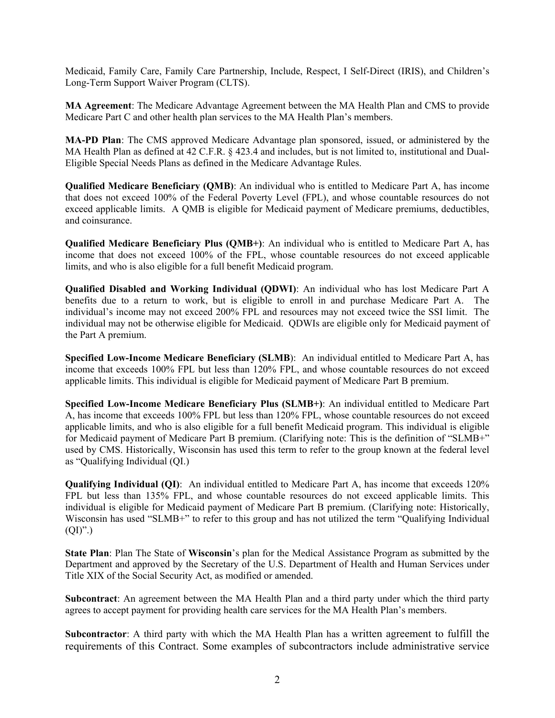Medicaid, Family Care, Family Care Partnership, Include, Respect, I Self-Direct (IRIS), and Children's Long-Term Support Waiver Program (CLTS).

**MA Agreement**: The Medicare Advantage Agreement between the MA Health Plan and CMS to provide Medicare Part C and other health plan services to the MA Health Plan's members.

**MA-PD Plan**: The CMS approved Medicare Advantage plan sponsored, issued, or administered by the MA Health Plan as defined at 42 C.F.R. § 423.4 and includes, but is not limited to, institutional and Dual-Eligible Special Needs Plans as defined in the Medicare Advantage Rules.

**Qualified Medicare Beneficiary (QMB)**: An individual who is entitled to Medicare Part A, has income that does not exceed 100% of the Federal Poverty Level (FPL), and whose countable resources do not exceed applicable limits. A QMB is eligible for Medicaid payment of Medicare premiums, deductibles, and coinsurance.

**Qualified Medicare Beneficiary Plus (QMB+)**: An individual who is entitled to Medicare Part A, has income that does not exceed 100% of the FPL, whose countable resources do not exceed applicable limits, and who is also eligible for a full benefit Medicaid program.

**Qualified Disabled and Working Individual (QDWI)**: An individual who has lost Medicare Part A benefits due to a return to work, but is eligible to enroll in and purchase Medicare Part A. The individual's income may not exceed 200% FPL and resources may not exceed twice the SSI limit. The individual may not be otherwise eligible for Medicaid. QDWIs are eligible only for Medicaid payment of the Part A premium.

**Specified Low-Income Medicare Beneficiary (SLMB**): An individual entitled to Medicare Part A, has income that exceeds 100% FPL but less than 120% FPL, and whose countable resources do not exceed applicable limits. This individual is eligible for Medicaid payment of Medicare Part B premium.

**Specified Low-Income Medicare Beneficiary Plus (SLMB+)**: An individual entitled to Medicare Part A, has income that exceeds 100% FPL but less than 120% FPL, whose countable resources do not exceed applicable limits, and who is also eligible for a full benefit Medicaid program. This individual is eligible for Medicaid payment of Medicare Part B premium. (Clarifying note: This is the definition of "SLMB+" used by CMS. Historically, Wisconsin has used this term to refer to the group known at the federal level as "Qualifying Individual (QI.)

**Qualifying Individual (QI)**: An individual entitled to Medicare Part A, has income that exceeds 120% FPL but less than 135% FPL, and whose countable resources do not exceed applicable limits. This individual is eligible for Medicaid payment of Medicare Part B premium. (Clarifying note: Historically, Wisconsin has used "SLMB+" to refer to this group and has not utilized the term "Qualifying Individual  $(QI)$ ".)

**State Plan**: Plan The State of **Wisconsin**'s plan for the Medical Assistance Program as submitted by the Department and approved by the Secretary of the U.S. Department of Health and Human Services under Title XIX of the Social Security Act, as modified or amended.

**Subcontract**: An agreement between the MA Health Plan and a third party under which the third party agrees to accept payment for providing health care services for the MA Health Plan's members.

**Subcontractor**: A third party with which the MA Health Plan has a written agreement to fulfill the requirements of this Contract. Some examples of subcontractors include administrative service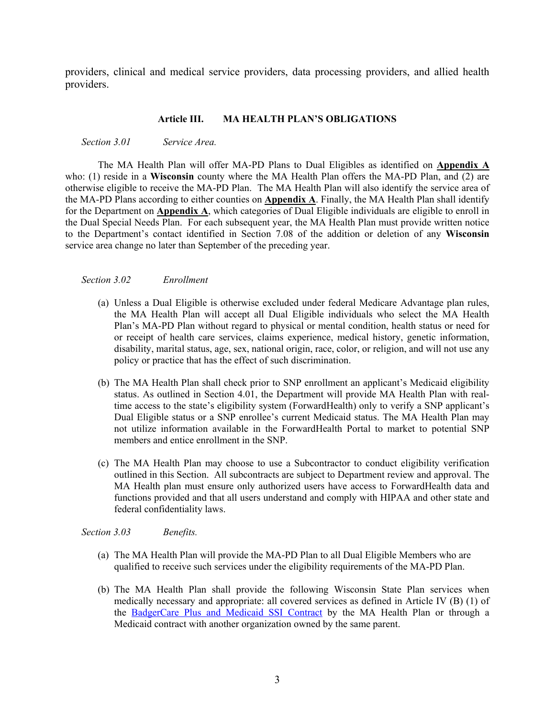providers, clinical and medical service providers, data processing providers, and allied health providers.

## **Article III. MA HEALTH PLAN'S OBLIGATIONS**

*Section 3.01 Service Area.* 

The MA Health Plan will offer MA-PD Plans to Dual Eligibles as identified on **Appendix A** who: (1) reside in a **Wisconsin** county where the MA Health Plan offers the MA-PD Plan, and (2) are otherwise eligible to receive the MA-PD Plan. The MA Health Plan will also identify the service area of the MA-PD Plans according to either counties on **Appendix A**. Finally, the MA Health Plan shall identify for the Department on **Appendix A**, which categories of Dual Eligible individuals are eligible to enroll in the Dual Special Needs Plan. For each subsequent year, the MA Health Plan must provide written notice to the Department's contact identified in Section 7.08 of the addition or deletion of any **Wisconsin**  service area change no later than September of the preceding year.

#### *Section 3.02 Enrollment*

- (a) Unless a Dual Eligible is otherwise excluded under federal Medicare Advantage plan rules, the MA Health Plan will accept all Dual Eligible individuals who select the MA Health Plan's MA-PD Plan without regard to physical or mental condition, health status or need for or receipt of health care services, claims experience, medical history, genetic information, disability, marital status, age, sex, national origin, race, color, or religion, and will not use any policy or practice that has the effect of such discrimination.
- (b) The MA Health Plan shall check prior to SNP enrollment an applicant's Medicaid eligibility status. As outlined in Section 4.01, the Department will provide MA Health Plan with realtime access to the state's eligibility system (ForwardHealth) only to verify a SNP applicant's Dual Eligible status or a SNP enrollee's current Medicaid status. The MA Health Plan may not utilize information available in the ForwardHealth Portal to market to potential SNP members and entice enrollment in the SNP.
- (c) The MA Health Plan may choose to use a Subcontractor to conduct eligibility verification outlined in this Section. All subcontracts are subject to Department review and approval. The MA Health plan must ensure only authorized users have access to ForwardHealth data and functions provided and that all users understand and comply with HIPAA and other state and federal confidentiality laws.

*Section 3.03 Benefits.* 

- (a) The MA Health Plan will provide the MA-PD Plan to all Dual Eligible Members who are qualified to receive such services under the eligibility requirements of the MA-PD Plan.
- (b) The MA Health Plan shall provide the following Wisconsin State Plan services when medically necessary and appropriate: all covered services as defined in Article IV (B) (1) of the [BadgerCare Plus and Medicaid SSI Contract](https://www.forwardhealth.wi.gov/WIPortal/content/Managed%20Care%20Organization/Contracts/Home.htm.spage) by the MA Health Plan or through a Medicaid contract with another organization owned by the same parent.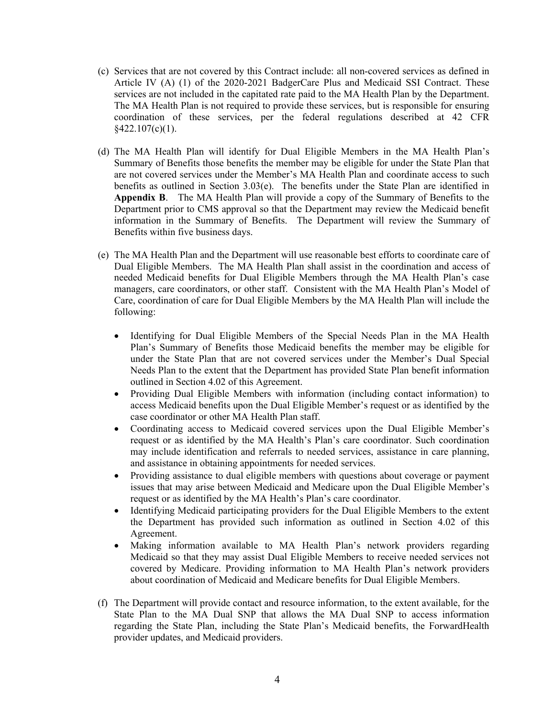- (c) Services that are not covered by this Contract include: all non-covered services as defined in Article IV (A) (1) of the 2020-2021 BadgerCare Plus and Medicaid SSI Contract. These services are not included in the capitated rate paid to the MA Health Plan by the Department. The MA Health Plan is not required to provide these services, but is responsible for ensuring coordination of these services, per the federal regulations described at 42 CFR  $§422.107(c)(1).$
- (d) The MA Health Plan will identify for Dual Eligible Members in the MA Health Plan's Summary of Benefits those benefits the member may be eligible for under the State Plan that are not covered services under the Member's MA Health Plan and coordinate access to such benefits as outlined in Section 3.03(e). The benefits under the State Plan are identified in **Appendix B**. The MA Health Plan will provide a copy of the Summary of Benefits to the Department prior to CMS approval so that the Department may review the Medicaid benefit information in the Summary of Benefits. The Department will review the Summary of Benefits within five business days.
- (e) The MA Health Plan and the Department will use reasonable best efforts to coordinate care of Dual Eligible Members. The MA Health Plan shall assist in the coordination and access of needed Medicaid benefits for Dual Eligible Members through the MA Health Plan's case managers, care coordinators, or other staff. Consistent with the MA Health Plan's Model of Care, coordination of care for Dual Eligible Members by the MA Health Plan will include the following:
	- Identifying for Dual Eligible Members of the Special Needs Plan in the MA Health Plan's Summary of Benefits those Medicaid benefits the member may be eligible for under the State Plan that are not covered services under the Member's Dual Special Needs Plan to the extent that the Department has provided State Plan benefit information outlined in Section 4.02 of this Agreement.
	- Providing Dual Eligible Members with information (including contact information) to access Medicaid benefits upon the Dual Eligible Member's request or as identified by the case coordinator or other MA Health Plan staff.
	- Coordinating access to Medicaid covered services upon the Dual Eligible Member's request or as identified by the MA Health's Plan's care coordinator. Such coordination may include identification and referrals to needed services, assistance in care planning, and assistance in obtaining appointments for needed services.
	- Providing assistance to dual eligible members with questions about coverage or payment issues that may arise between Medicaid and Medicare upon the Dual Eligible Member's request or as identified by the MA Health's Plan's care coordinator.
	- Identifying Medicaid participating providers for the Dual Eligible Members to the extent the Department has provided such information as outlined in Section 4.02 of this Agreement.
	- Making information available to MA Health Plan's network providers regarding Medicaid so that they may assist Dual Eligible Members to receive needed services not covered by Medicare. Providing information to MA Health Plan's network providers about coordination of Medicaid and Medicare benefits for Dual Eligible Members.
- (f) The Department will provide contact and resource information, to the extent available, for the State Plan to the MA Dual SNP that allows the MA Dual SNP to access information regarding the State Plan, including the State Plan's Medicaid benefits, the ForwardHealth provider updates, and Medicaid providers.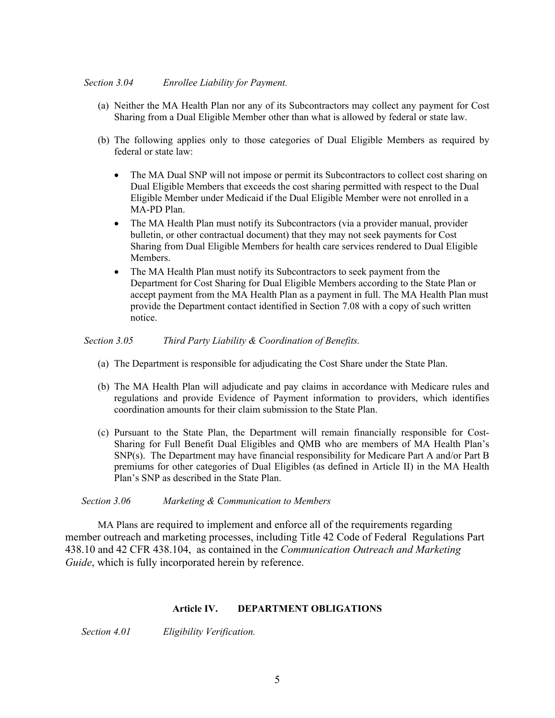- (a) Neither the MA Health Plan nor any of its Subcontractors may collect any payment for Cost Sharing from a Dual Eligible Member other than what is allowed by federal or state law.
- (b) The following applies only to those categories of Dual Eligible Members as required by federal or state law:
	- The MA Dual SNP will not impose or permit its Subcontractors to collect cost sharing on Dual Eligible Members that exceeds the cost sharing permitted with respect to the Dual Eligible Member under Medicaid if the Dual Eligible Member were not enrolled in a MA-PD Plan.
	- The MA Health Plan must notify its Subcontractors (via a provider manual, provider bulletin, or other contractual document) that they may not seek payments for Cost Sharing from Dual Eligible Members for health care services rendered to Dual Eligible Members.
	- The MA Health Plan must notify its Subcontractors to seek payment from the Department for Cost Sharing for Dual Eligible Members according to the State Plan or accept payment from the MA Health Plan as a payment in full. The MA Health Plan must provide the Department contact identified in Section 7.08 with a copy of such written notice.

## *Section 3.05 Third Party Liability & Coordination of Benefits.*

- (a) The Department is responsible for adjudicating the Cost Share under the State Plan.
- (b) The MA Health Plan will adjudicate and pay claims in accordance with Medicare rules and regulations and provide Evidence of Payment information to providers, which identifies coordination amounts for their claim submission to the State Plan.
- (c) Pursuant to the State Plan, the Department will remain financially responsible for Cost-Sharing for Full Benefit Dual Eligibles and QMB who are members of MA Health Plan's SNP(s). The Department may have financial responsibility for Medicare Part A and/or Part B premiums for other categories of Dual Eligibles (as defined in Article II) in the MA Health Plan's SNP as described in the State Plan.

#### *Section 3.06 Marketing & Communication to Members*

MA Plans are required to implement and enforce all of the requirements regarding member outreach and marketing processes, including Title 42 Code of Federal Regulations Part 438.10 and 42 CFR 438.104, as contained in the *Communication Outreach and Marketing Guide*, which is fully incorporated herein by reference.

# **Article IV. DEPARTMENT OBLIGATIONS**

*Section 4.01 Eligibility Verification.*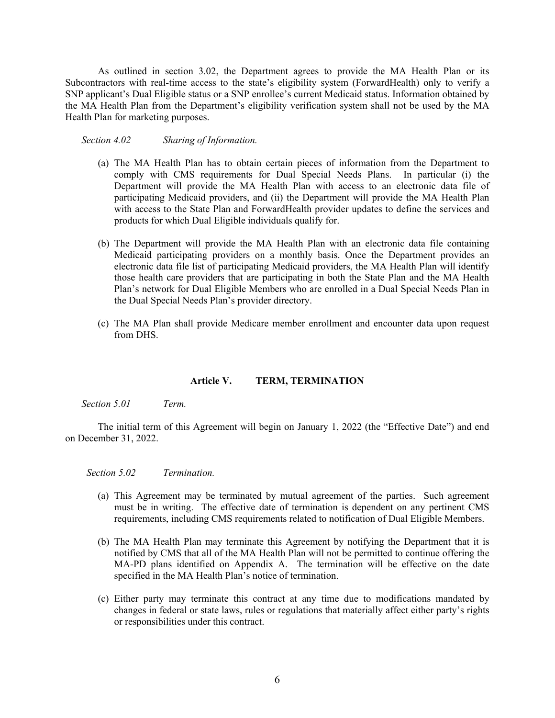As outlined in section 3.02, the Department agrees to provide the MA Health Plan or its Subcontractors with real-time access to the state's eligibility system (ForwardHealth) only to verify a SNP applicant's Dual Eligible status or a SNP enrollee's current Medicaid status. Information obtained by the MA Health Plan from the Department's eligibility verification system shall not be used by the MA Health Plan for marketing purposes.

*Section 4.02 Sharing of Information.* 

- (a) The MA Health Plan has to obtain certain pieces of information from the Department to comply with CMS requirements for Dual Special Needs Plans. In particular (i) the Department will provide the MA Health Plan with access to an electronic data file of participating Medicaid providers, and (ii) the Department will provide the MA Health Plan with access to the State Plan and ForwardHealth provider updates to define the services and products for which Dual Eligible individuals qualify for.
- (b) The Department will provide the MA Health Plan with an electronic data file containing Medicaid participating providers on a monthly basis. Once the Department provides an electronic data file list of participating Medicaid providers, the MA Health Plan will identify those health care providers that are participating in both the State Plan and the MA Health Plan's network for Dual Eligible Members who are enrolled in a Dual Special Needs Plan in the Dual Special Needs Plan's provider directory.
- (c) The MA Plan shall provide Medicare member enrollment and encounter data upon request from DHS.

#### **Article V. TERM, TERMINATION**

*Section 5.01 Term.*

The initial term of this Agreement will begin on January 1, 2022 (the "Effective Date") and end on December 31, 2022.

*Section 5.02 Termination.*

- (a) This Agreement may be terminated by mutual agreement of the parties. Such agreement must be in writing. The effective date of termination is dependent on any pertinent CMS requirements, including CMS requirements related to notification of Dual Eligible Members.
- (b) The MA Health Plan may terminate this Agreement by notifying the Department that it is notified by CMS that all of the MA Health Plan will not be permitted to continue offering the MA-PD plans identified on Appendix A. The termination will be effective on the date specified in the MA Health Plan's notice of termination.
- (c) Either party may terminate this contract at any time due to modifications mandated by changes in federal or state laws, rules or regulations that materially affect either party's rights or responsibilities under this contract.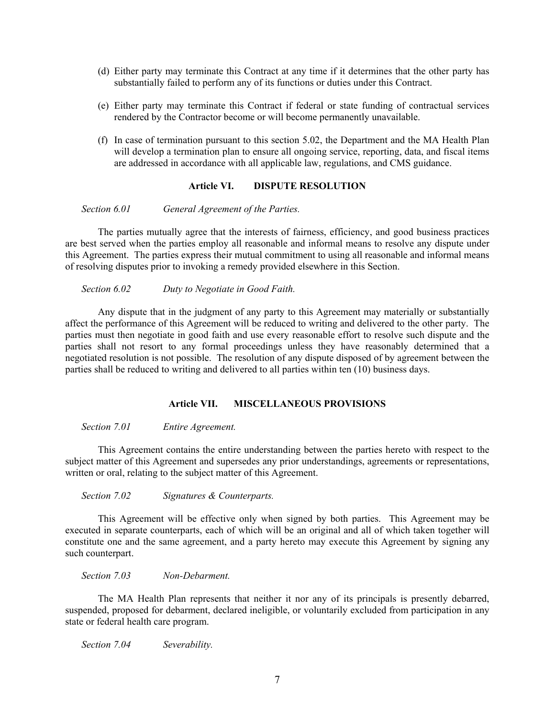- (d) Either party may terminate this Contract at any time if it determines that the other party has substantially failed to perform any of its functions or duties under this Contract.
- (e) Either party may terminate this Contract if federal or state funding of contractual services rendered by the Contractor become or will become permanently unavailable.
- (f) In case of termination pursuant to this section 5.02, the Department and the MA Health Plan will develop a termination plan to ensure all ongoing service, reporting, data, and fiscal items are addressed in accordance with all applicable law, regulations, and CMS guidance.

# **Article VI. DISPUTE RESOLUTION**

*Section 6.01 General Agreement of the Parties.* 

The parties mutually agree that the interests of fairness, efficiency, and good business practices are best served when the parties employ all reasonable and informal means to resolve any dispute under this Agreement. The parties express their mutual commitment to using all reasonable and informal means of resolving disputes prior to invoking a remedy provided elsewhere in this Section.

*Section 6.02 Duty to Negotiate in Good Faith.* 

Any dispute that in the judgment of any party to this Agreement may materially or substantially affect the performance of this Agreement will be reduced to writing and delivered to the other party. The parties must then negotiate in good faith and use every reasonable effort to resolve such dispute and the parties shall not resort to any formal proceedings unless they have reasonably determined that a negotiated resolution is not possible. The resolution of any dispute disposed of by agreement between the parties shall be reduced to writing and delivered to all parties within ten (10) business days.

# **Article VII. MISCELLANEOUS PROVISIONS**

*Section 7.01 Entire Agreement.*

This Agreement contains the entire understanding between the parties hereto with respect to the subject matter of this Agreement and supersedes any prior understandings, agreements or representations, written or oral, relating to the subject matter of this Agreement.

*Section 7.02 Signatures & Counterparts.*

This Agreement will be effective only when signed by both parties. This Agreement may be executed in separate counterparts, each of which will be an original and all of which taken together will constitute one and the same agreement, and a party hereto may execute this Agreement by signing any such counterpart.

*Section 7.03 Non-Debarment.*

The MA Health Plan represents that neither it nor any of its principals is presently debarred, suspended, proposed for debarment, declared ineligible, or voluntarily excluded from participation in any state or federal health care program.

*Section 7.04 Severability.*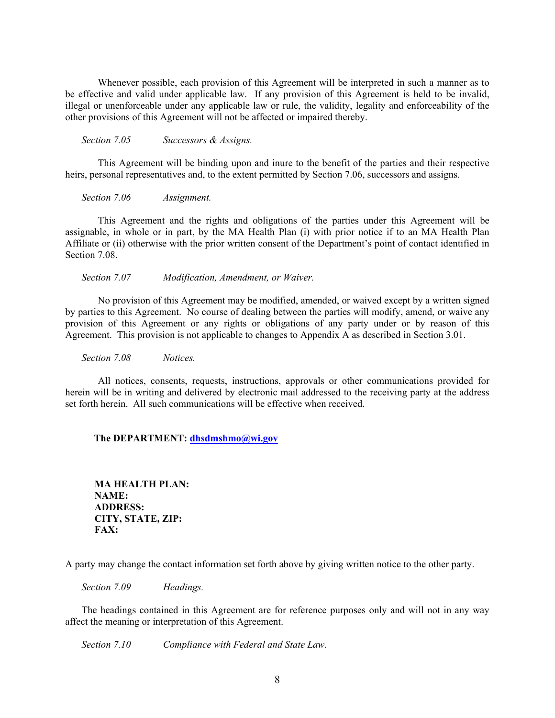Whenever possible, each provision of this Agreement will be interpreted in such a manner as to be effective and valid under applicable law. If any provision of this Agreement is held to be invalid, illegal or unenforceable under any applicable law or rule, the validity, legality and enforceability of the other provisions of this Agreement will not be affected or impaired thereby.

*Section 7.05 Successors & Assigns.*

This Agreement will be binding upon and inure to the benefit of the parties and their respective heirs, personal representatives and, to the extent permitted by Section 7.06, successors and assigns.

*Section 7.06 Assignment.*

This Agreement and the rights and obligations of the parties under this Agreement will be assignable, in whole or in part, by the MA Health Plan (i) with prior notice if to an MA Health Plan Affiliate or (ii) otherwise with the prior written consent of the Department's point of contact identified in Section 7.08.

*Section 7.07 Modification, Amendment, or Waiver.*

No provision of this Agreement may be modified, amended, or waived except by a written signed by parties to this Agreement. No course of dealing between the parties will modify, amend, or waive any provision of this Agreement or any rights or obligations of any party under or by reason of this Agreement. This provision is not applicable to changes to Appendix A as described in Section 3.01.

*Section 7.08 Notices.*

All notices, consents, requests, instructions, approvals or other communications provided for herein will be in writing and delivered by electronic mail addressed to the receiving party at the address set forth herein. All such communications will be effective when received.

#### **The DEPARTMENT: [dhsdmshmo@wi.gov](mailto:dhsdmshmo@wi.gov)**

**MA HEALTH PLAN: NAME: ADDRESS: CITY, STATE, ZIP: FAX:**

A party may change the contact information set forth above by giving written notice to the other party.

*Section 7.09 Headings.*

The headings contained in this Agreement are for reference purposes only and will not in any way affect the meaning or interpretation of this Agreement.

*Section 7.10 Compliance with Federal and State Law.*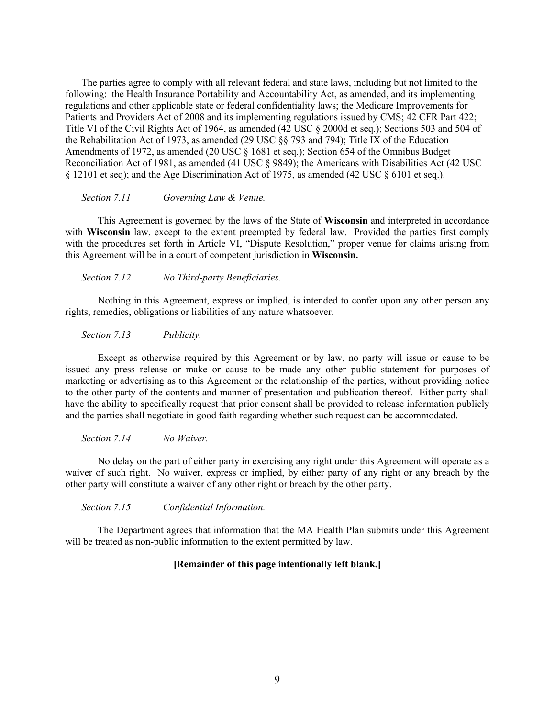The parties agree to comply with all relevant federal and state laws, including but not limited to the following: the Health Insurance Portability and Accountability Act, as amended, and its implementing regulations and other applicable state or federal confidentiality laws; the Medicare Improvements for Patients and Providers Act of 2008 and its implementing regulations issued by CMS; 42 CFR Part 422; Title VI of the Civil Rights Act of 1964, as amended (42 USC § 2000d et seq.); Sections 503 and 504 of the Rehabilitation Act of 1973, as amended (29 USC §§ 793 and 794); Title IX of the Education Amendments of 1972, as amended (20 USC § 1681 et seq.); Section 654 of the Omnibus Budget Reconciliation Act of 1981, as amended (41 USC § 9849); the Americans with Disabilities Act (42 USC § 12101 et seq); and the Age Discrimination Act of 1975, as amended (42 USC § 6101 et seq.).

#### *Section 7.11 Governing Law & Venue.*

This Agreement is governed by the laws of the State of **Wisconsin** and interpreted in accordance with **Wisconsin** law, except to the extent preempted by federal law. Provided the parties first comply with the procedures set forth in Article VI, "Dispute Resolution," proper venue for claims arising from this Agreement will be in a court of competent jurisdiction in **Wisconsin.** 

*Section 7.12 No Third-party Beneficiaries.*

Nothing in this Agreement, express or implied, is intended to confer upon any other person any rights, remedies, obligations or liabilities of any nature whatsoever.

*Section 7.13 Publicity.*

Except as otherwise required by this Agreement or by law, no party will issue or cause to be issued any press release or make or cause to be made any other public statement for purposes of marketing or advertising as to this Agreement or the relationship of the parties, without providing notice to the other party of the contents and manner of presentation and publication thereof. Either party shall have the ability to specifically request that prior consent shall be provided to release information publicly and the parties shall negotiate in good faith regarding whether such request can be accommodated.

*Section 7.14 No Waiver.*

No delay on the part of either party in exercising any right under this Agreement will operate as a waiver of such right. No waiver, express or implied, by either party of any right or any breach by the other party will constitute a waiver of any other right or breach by the other party.

*Section 7.15 Confidential Information.*

The Department agrees that information that the MA Health Plan submits under this Agreement will be treated as non-public information to the extent permitted by law.

## **[Remainder of this page intentionally left blank.]**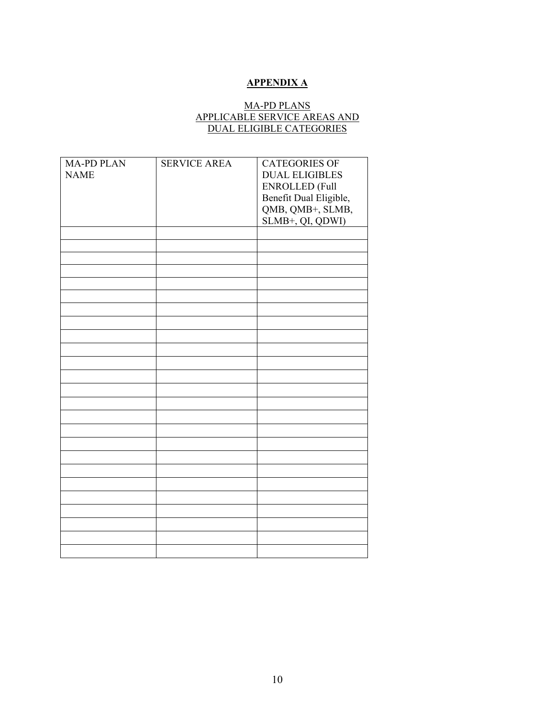# **APPENDIX A**

# MA-PD PLANS APPLICABLE SERVICE AREAS AND DUAL ELIGIBLE CATEGORIES

| <b>MA-PD PLAN</b> | <b>SERVICE AREA</b> | <b>CATEGORIES OF</b>                       |
|-------------------|---------------------|--------------------------------------------|
| <b>NAME</b>       |                     | <b>DUAL ELIGIBLES</b>                      |
|                   |                     | ENROLLED (Full                             |
|                   |                     |                                            |
|                   |                     | Benefit Dual Eligible,<br>QMB, QMB+, SLMB, |
|                   |                     |                                            |
|                   |                     | SLMB+, QI, QDWI)                           |
|                   |                     |                                            |
|                   |                     |                                            |
|                   |                     |                                            |
|                   |                     |                                            |
|                   |                     |                                            |
|                   |                     |                                            |
|                   |                     |                                            |
|                   |                     |                                            |
|                   |                     |                                            |
|                   |                     |                                            |
|                   |                     |                                            |
|                   |                     |                                            |
|                   |                     |                                            |
|                   |                     |                                            |
|                   |                     |                                            |
|                   |                     |                                            |
|                   |                     |                                            |
|                   |                     |                                            |
|                   |                     |                                            |
|                   |                     |                                            |
|                   |                     |                                            |
|                   |                     |                                            |
|                   |                     |                                            |
|                   |                     |                                            |
|                   |                     |                                            |
|                   |                     |                                            |
|                   |                     |                                            |
|                   |                     |                                            |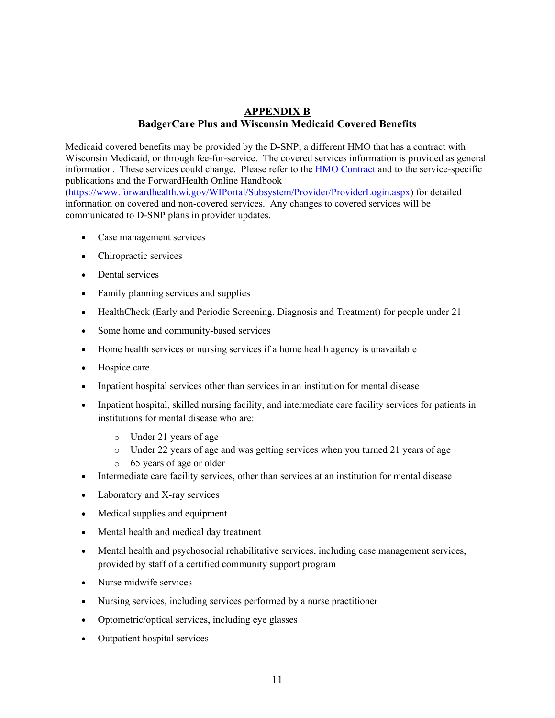# **APPENDIX B BadgerCare Plus and Wisconsin Medicaid Covered Benefits**

Medicaid covered benefits may be provided by the D-SNP, a different HMO that has a contract with Wisconsin Medicaid, or through fee-for-service. The covered services information is provided as general information. These services could change. Please refer to the [HMO Contract](https://www.forwardhealth.wi.gov/WIPortal/content/Managed%20Care%20Organization/Contracts/Home.htm.spage) and to the service-specific publications and the ForwardHealth Online Handbook

[\(https://www.forwardhealth.wi.gov/WIPortal/Subsystem/Provider/ProviderLogin.aspx\)](https://www.forwardhealth.wi.gov/WIPortal/Subsystem/Provider/ProviderLogin.aspx) for detailed information on covered and non-covered services. Any changes to covered services will be communicated to D-SNP plans in provider updates.

- Case management services
- Chiropractic services
- Dental services
- Family planning services and supplies
- HealthCheck (Early and Periodic Screening, Diagnosis and Treatment) for people under 21
- Some home and community-based services
- Home health services or nursing services if a home health agency is unavailable
- Hospice care
- Inpatient hospital services other than services in an institution for mental disease
- Inpatient hospital, skilled nursing facility, and intermediate care facility services for patients in institutions for mental disease who are:
	- o Under 21 years of age
	- o Under 22 years of age and was getting services when you turned 21 years of age
	- o 65 years of age or older
- Intermediate care facility services, other than services at an institution for mental disease
- Laboratory and X-ray services
- Medical supplies and equipment
- Mental health and medical day treatment
- Mental health and psychosocial rehabilitative services, including case management services, provided by staff of a certified community support program
- Nurse midwife services
- Nursing services, including services performed by a nurse practitioner
- Optometric/optical services, including eye glasses
- Outpatient hospital services